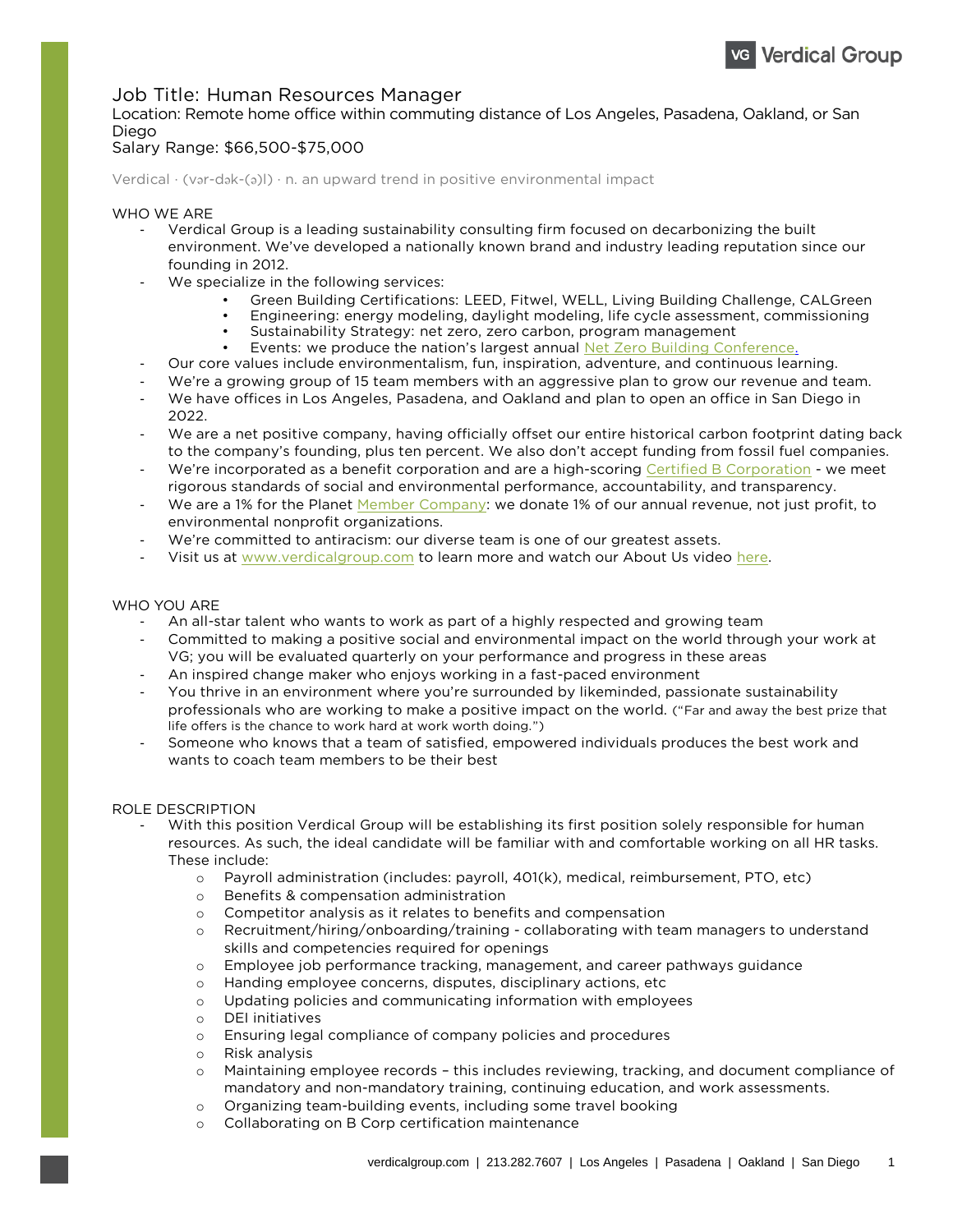# **Job Title: Human Resources Manager Location: Remote home office within commuting distance of Los Angeles, Pasadena, Oakland, or San**

#### Salary Range: \$66,500-\$75,000 **Salary Range: \$66,500-\$75,000**

**Verdical · (v**ə**r-d**ə**k-(**ə**)l) · n. an upward trend in positive environmental impact**

- **WHO WE WE ARE SET WE ARE SET ON WARE SET ON A VERTILE AREA CONSUMING THE SUBJECT OF THE SUBJECT VIOLETY CONSULTING SUPPORT ON A PRIME ON A PRIME ON A PRIME ON A PRIME OF THE SUBJECT OF THE SUBJECT OF THE SUBJECT OF THE SU environment. We've developed a nationally known brand and industry leading reputation since our** 
	- **founding in 2012.**<br>We specialize in the following services:<br>Green Building Certification
		-
		- **• Green Building Certifications: LEED, Fitwel, WELL, Living Building Challenge, CALGreen**
		- **•** Sustainability Strategy: net zero, zero carbon, program management
		- **Events: we produce the nation's largest annual Net Zero Building Conference.**
	- **Events:** Our core values include environmentalism, fun, inspiration, adventure, and continuous learning.<br>- *Mo're a growing group* of 15 team mombers with an aggressive plan to grow our revenue and t
	- **We're a growing group of 15 team members with an aggressive plan to grow our revenue and team.**
	- We have offices in Los Angeles, Pasadena, and Oakland and plan to open an office in San Diego in<br>2022.
	- **2022.**<br>The are a net positive company, having officially offset our entire historical carbon footprint dating back <br>An the company's founding plus ten percent. We also don't accent funding from fossil fuel companies
	- We're incorporated as a benefit corporation and are a high-scoring Certified B Corporation we meet<br>rigorous standards of social and onvironmental performance, accountability, and transparency,
	- We are a 1% for the Planet Member Company: we donate 1% of our annual revenue, not just profit, to<br>environmental popprofit organizations
	- **EXECT WE're co[mmitted to antiracism: our](http://www.verdicalgroup.com/) diverse team is one of our greatest assets.**<br>- *Misit us at www.yergicalgroup.com* to learn more and watch our About Us video
	- **Visit us at www.verdicalgroup.com to learn more and watch our About Us video [here.](http://www.verdicalgroup.com/who-we-are)**

## WHO YOU ARE

- An all-star talent who wants to work as part of a highly respected and growing team<br>Committed to making a positive social and environmental impact on the world throu
	- **Committed to making a positive social and environmental impact on the world through your work at**
	- **An inspired change maker who enjoys working in a fast-paced environment**<br>- *Nou thrive in an environment where you're surrounded by likeminded passionate sus-*
	- You thrive in an environment where you're surrounded by likeminded, passionate sustainability<br>professionals who are working to make a positive impact on the world. ("Far and away the best prize that life offers is the chance to work hard at work worth doing.")
	- **life of the chance who knows that a team of satisfied, empowered individuals produces the best work and wants to coach team members to be their best**

### **ROLE DESCRIPTION**

- With this position Verdical Group will be establishing its first position solely responsible for human  **With the ideal candidate will be familiar with and comfortable working on all HP task resources. As such, the ideal candidate will be familiar with and comfortable working on all HR tasks.**
	- **These include:** <sup>o</sup> **Payroll administration (includes: payroll, 401(k), medical, reimbursement, PTO, etc)**
		- <sup>o</sup> **Benefits & compensation administration**
		- <sup>o</sup> **Competitor analysis as it relates to benefits and compensation**
		- Recruitment/hiring/onboarding/training collaborating with team managers to understand skills and competencies required for openings
		- **skills and competencies requires required for opening the competencies**<br>comployee job performance tracking, management, and career pathways guidance
		- <sup>o</sup> **Handing employee concerns, disputes, disciplinary actions, etc**
		- <sup>o</sup> **Updating policies and communicating information with employees**
		- <sup>o</sup> **DEI initiatives**
		- <sup>o</sup> **Ensuring legal compliance of company policies and procedures**
		- <sup>o</sup> **Risk analysis**
		- Maintaining employee records this includes reviewing, tracking, and document compliance of mandatory and non-mandatory training, continuing education, and work assessments.
		- **mandatory and non-mandatory training, continuing education, and work assessments.** <sup>o</sup> **Organizing team-building events, including some travel booking**
		- <sup>o</sup> **Collaborating on B Corp certification maintenance**